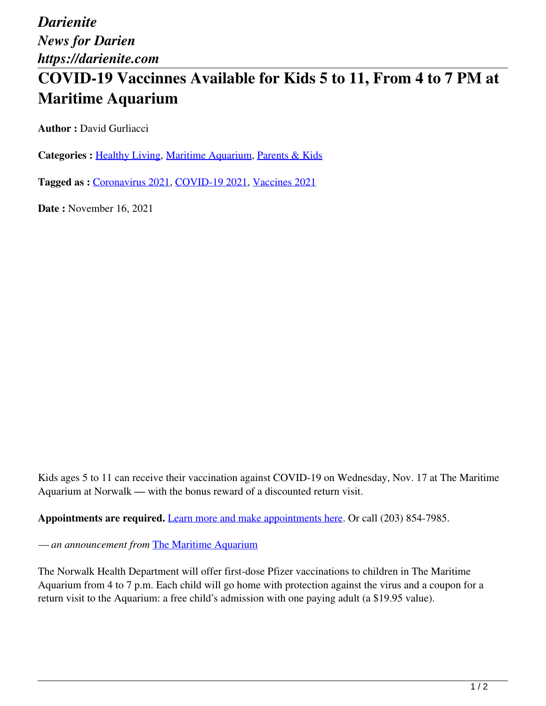*Darienite News for Darien https://darienite.com*

## **COVID-19 Vaccinnes Available for Kids 5 to 11, From 4 to 7 PM at Maritime Aquarium**

**Author : David Gurliacci** 

**Categories :** [Healthy Living](https://darienite.com/category/healthy-living), Maritime Aquarium, Parents & Kids

**Tagged as :** Coronavirus 2021, COVID-19 2021, Vaccines 2021

**Date :** November 16, 2021

Kids ages 5 to 11 can receive their vaccination against COVID-19 on Wednesday, Nov. 17 at The Maritime Aquarium at Norwalk — with the bonus reward of a discounted return visit.

**Appointments are required.** Learn more and make appointments here. Or call (203) 854-7985.

*— an announcement from* The Maritime Aquarium

The Norwalk Health Department will offer first-dose Pfizer vaccinations to children in The Maritime Aquarium from 4 to 7 p.m. Each child will go home with protection against the virus and a coupon for a return visit to the Aquarium: a free child's admission with one paying adult (a \$19.95 value).